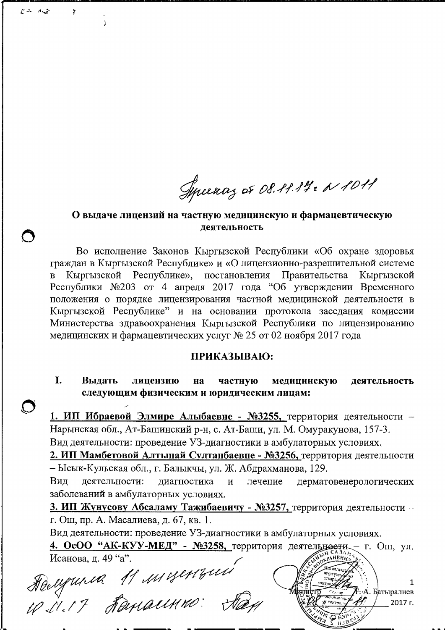Syncenaz or 08.29.14. N 1011

### О выдаче лицензий на частную медицинскую и фармацевтическую леятельность

Во исполнение Законов Кыргызской Республики «Об охране здоровья граждан в Кыргызской Республике» и «О лицензионно-разрешительной системе Кыргызской Республике», постановления Правительства Кыргызской Республики №203 от 4 апреля 2017 года "Об утверждении Временного положения о порядке лицензирования частной медицинской деятельности в Кыргызской Республике" и на основании протокола заседания комиссии Министерства здравоохранения Кыргызской Республики по лицензированию медицинских и фармацевтических услуг № 25 от 02 ноября 2017 года

### ПРИКАЗЫВАЮ:

I. Выдать лицензию на частную медицинскую деятельность следующим физическим и юридическим лицам:

1. ИП Ибраевой Элмире Алыбаевне - №3255, территория деятельности -Нарынская обл., Ат-Башинский р-н, с. Ат-Баши, ул. М. Омуракунова, 157-3. Вид деятельности: проведение УЗ-диагностики в амбулаторных условиях.

2. ИП Мамбетовой Алтынай Султанбаевне - №3256, территория деятельности – Ысык-Кульская обл., г. Балыкчы, ул. Ж. Абдрахманова, 129.

деятельности: лиагностика  $\overline{M}$ лечение дерматовенерологических Вид заболеваний в амбулаторных условиях.

3. ИП Жунусову Абсаламу Тажибаевичу - №3257, территория деятельности г. Ош, пр. А. Масалиева, д. 67, кв. 1.

Вид деятельности: проведение УЗ-диагностики в амбулаторных условиях.

4. ОсОО "АК-КУУ-МЕД" - №3258, территория деятельности - г. Ош, ул. Исанова, д. 49 "а".

Helynnia 11 migenzini

چي پر استدائل

 $\mathbf{I}$ 

1 А. Батыралиев 2017 г.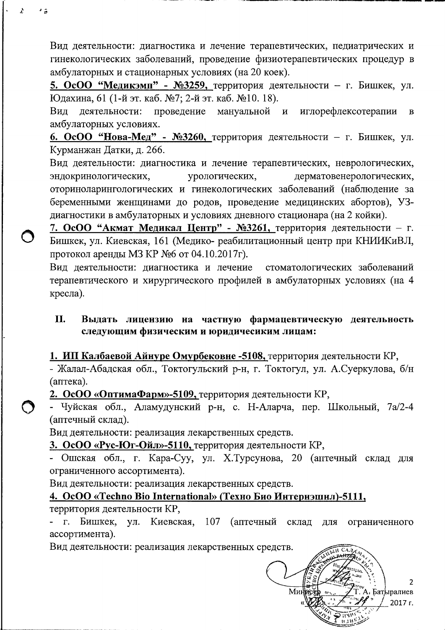Вид деятельности: диагностика и лечение терапевтических, педиатрических и гинекологических заболеваний, проведение физиотерапевтических процедур в амбулаторных и стационарных условиях (на 20 коек).

5. ОсОО "Медикэмп" - №3259, территория деятельности - г. Бишкек, ул. Юдахина, 61 (1-й эт. каб. №7; 2-й эт. каб. №10. 18).

деятельности: проведение иглорефлексотерапии Вид мануальной  $\mathbf{M}$  $\mathbf{B}$ амбулаторных условиях.

6. ОсОО "Нова-Мед" - №3260, территория деятельности - г. Бишкек, ул. Курманжан Датки, д. 266.

Вид деятельности: диагностика и лечение терапевтических, неврологических, дерматовенерологических, эндокринологических, урологических, оториноларингологических и гинекологических заболеваний (наблюдение за беременными женщинами до родов, проведение медицинских абортов), УЗдиагностики в амбулаторных и условиях дневного стационара (на 2 койки).

7. ОсОО "Акмат Медикал Центр" - №3261, территория деятельности - г. Бишкек, ул. Киевская, 161 (Медико- реабилитационный центр при КНИИКиВЛ, протокол аренды МЗ КР №6 от 04.10.2017г).

Вид деятельности: диагностика и лечение стоматологических заболеваний терапевтического и хирургического профилей в амбулаторных условиях (на 4 кресла).

#### II. Выдать лицензию на частную фармацевтическую деятельность следующим физическим и юридичесиким лицам:

1. ИП Калбаевой Айнуре Омурбековне -5108, территория деятельности КР,

- Жалал-Абадская обл., Токтогульский р-н, г. Токтогул, ул. А.Суеркулова, б/н (аптека).

2. ОсОО «ОптимаФарм»-5109, территория деятельности КР,

- Чуйская обл., Аламудунский р-н, с. Н-Аларча, пер. Школьный, 7а/2-4 (аптечный склад).

Вид деятельности: реализация лекарственных средств.

3. ОсОО «Рус-Юг-Ойл»-5110, территория деятельности КР,

- Ошская обл., г. Кара-Суу, ул. Х.Турсунова, 20 (аптечный склад для ограниченного ассортимента).

Вид деятельности: реализация лекарственных средств.

4. OcOO «Techno Bio International» (Техно Био Интернэшнл)-5111,

территория деятельности КР,

 $\lambda$ 

г. Бишкек, ул. Киевская, 107 (аптечный склад для ограниченного ассортимента).

Вид деятельности: реализация лекарственных средств.